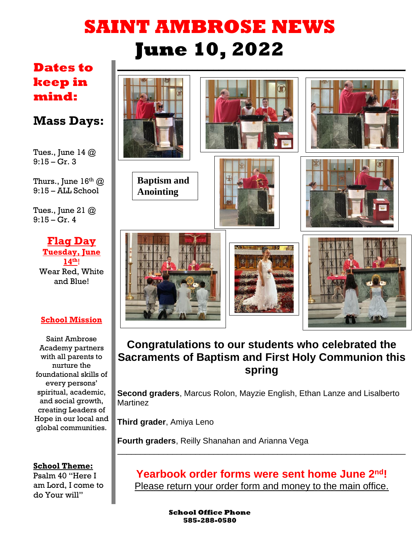# **SAINT AMBROSE NEWS June 10, 2022**

## **Dates to keep in mind:**

## **Mass Days:**

Tues., June 14  $@$  $9:15 - Gr. 3$ 

Thurs., June  $16<sup>th</sup>$  @  $9:15 - A$ LL School

Tues., June 21  $@$ 9:15 – Gr. 4

**Flag Day Tuesday, June 14th**! Wear Red, White and Blue!

#### **School Mission**

Saint Ambrose Academy partners with all parents to nurture the foundational skills of every persons' spiritual, academic, and social growth, creating Leaders of Hope in our local and global communities.

#### **School Theme:**

Psalm 40 "Here I am Lord, I come to do Your will"



## **Congratulations to our students who celebrated the Sacraments of Baptism and First Holy Communion this spring**

**Second graders**, Marcus Rolon, Mayzie English, Ethan Lanze and Lisalberto Martinez

**Third grader**, Amiya Leno

**Fourth graders**, Reilly Shanahan and Arianna Vega

**Yearbook order forms were sent home June 2nd!** Please return your order form and money to the main office.

\_\_\_\_\_\_\_\_\_\_\_\_\_\_\_\_\_\_\_\_\_\_\_\_\_\_\_\_\_\_\_\_\_\_\_\_\_\_\_\_\_\_\_\_\_\_\_\_\_\_\_\_\_\_\_\_\_\_\_\_\_\_\_

**School Office Phone 585-288-0580**